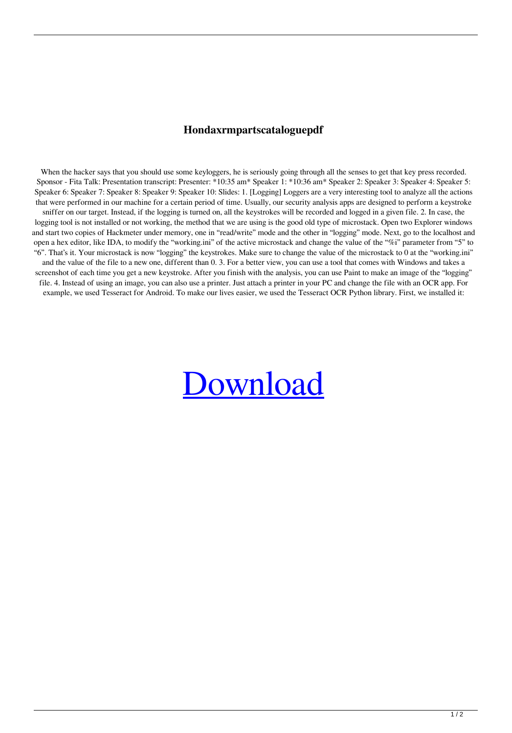## **Hondaxrmpartscataloguepdf**

When the hacker says that you should use some keyloggers, he is seriously going through all the senses to get that key press recorded. Sponsor - Fita Talk: Presentation transcript: Presenter: \*10:35 am\* Speaker 1: \*10:36 am\* Speaker 2: Speaker 3: Speaker 4: Speaker 5: Speaker 6: Speaker 7: Speaker 8: Speaker 9: Speaker 10: Slides: 1. [Logging] Loggers are a very interesting tool to analyze all the actions that were performed in our machine for a certain period of time. Usually, our security analysis apps are designed to perform a keystroke sniffer on our target. Instead, if the logging is turned on, all the keystrokes will be recorded and logged in a given file. 2. In case, the logging tool is not installed or not working, the method that we are using is the good old type of microstack. Open two Explorer windows and start two copies of Hackmeter under memory, one in "read/write" mode and the other in "logging" mode. Next, go to the localhost and open a hex editor, like IDA, to modify the "working.ini" of the active microstack and change the value of the "%i" parameter from "5" to "6". That's it. Your microstack is now "logging" the keystrokes. Make sure to change the value of the microstack to 0 at the "working.ini" and the value of the file to a new one, different than 0. 3. For a better view, you can use a tool that comes with Windows and takes a screenshot of each time you get a new keystroke. After you finish with the analysis, you can use Paint to make an image of the "logging" file. 4. Instead of using an image, you can also use a printer. Just attach a printer in your PC and change the file with an OCR app. For example, we used Tesseract for Android. To make our lives easier, we used the Tesseract OCR Python library. First, we installed it:

## [Download](http://evacdir.com/aG9uZGF4cm1wYXJ0c2NhdGFsb2d1ZXBkZgaG9/craftsbury/mavia/moray/slays.ZG93bmxvYWR8QUw5WTNaNU9IeDhNVFkxTlRnME1qazRNWHg4TWpVNU1IeDhLRTBwSUZkdmNtUndjbVZ6Y3lCYldFMU1VbEJESUZZeUlGQkVSbDA.meteors/)